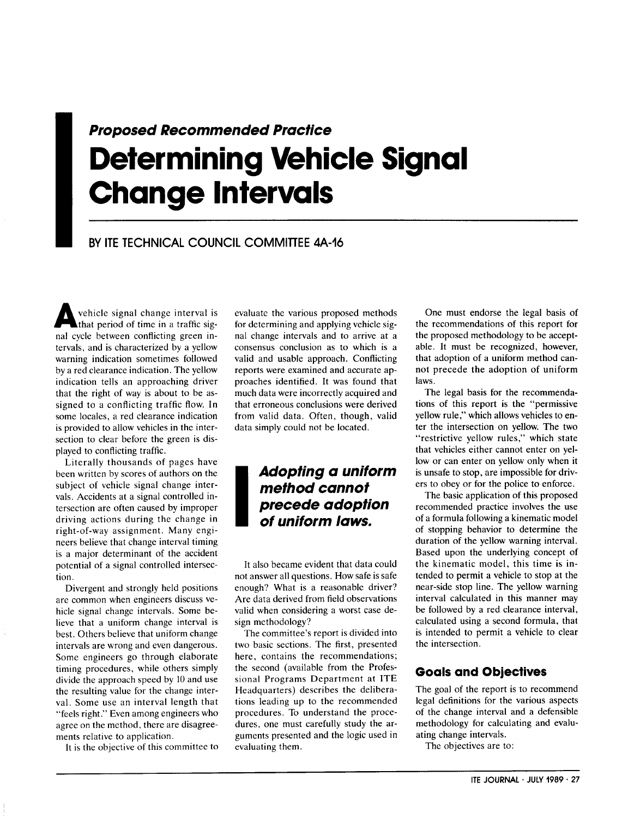# **Pr**<br> **C**<br>
BY<br>
BY **Proposed Recommended Practice Determining Vehicle Signal Change Intervals**

## BY ITE TECHNICAL COUNCIL COMMITTEE 4A-16

vehicle signal change interval is<br>that period of time in a traffic sigthat period of time in a traffic signal cycle between conflicting green intervals, and is characterized by a yellow warning indication sometimes followed by a red clearance indication. The yellow indication tells an approaching driver that the right of way is about to be assigned to a conflicting traffic flow. In some locales, a red clearance indication is provided to allow vehicles in the intersection to clear before the green is displayed to conflicting traffic.

Literally thousands of pages have been written by scores of authors on the subject of vehicle signal change intervals. Accidents at a signal controlled intersection are often caused by improper driving actions during the change in right-of-way assignment. Many engineers believe that change interval timing is a major determinant of the accident potential of a signal controlled intersection.

Divergent and strongly held positions are common when engineers discuss vehicle signal change intervals. Some believe that a uniform change interval is best. Others believe that uniform change intervals are wrong and even dangerous. Some engineers go through elaborate timing procedures, while others simply divide the approach speed by 10 and use the resulting value for the change interval. Some use an interval length that "feels right." Even among engineers who agree on the method, there are disagreements relative to application.

It is the objective of this committee to

evaluate the various proposed methods for determining and applying vehicle signal change intervals and to arrive at a consensus conclusion as to which is a valid and usable approach. Conflicting reports were examined and accurate approaches identified. It was found that much data were incorrectly acquired and that erroneous conclusions were derived from valid data. Often, though, valid data simply could not be located.

## **I Adopting a uniform method cannot precede adoption of uniform laws.**

It also became evident that data could not answer all questions. How safe is safe enough? What is a reasonable driver? Are data derived from field observations valid when considering a worst case design methodology?

The committee's report is divided into two basic sections. The first, presented here, contains the recommendations; the second (available from the Professional Programs Department at ITE Headquarters) describes the deliberations leading up to the recommended procedures. To understand the procedures, one must carefully study the arguments presented and the logic used in evaluating them.

One must endorse the legal basis of the recommendations of this report for the proposed methodology to be acceptable. It must be recognized, however, that adoption of a uniform method cannot precede the adoption of uniform laws.

The legal basis for the recommendations of this report is the "permissive yellow rule," which allows vehicles to enter the intersection on yellow. The two "restrictive yellow rules," which state that vehicles either cannot enter on yellow or can enter on yellow only when it is unsafe to stop, are impossible for drivers to obey or for the police to enforce.

The basic application of this proposed recommended practice involves the use of a formula following a kinematic model of stopping behavior to determine the duration of the yellow warning interval. Based upon the underlying concept of the kinematic model, this time is intended to permit a vehicle to stop at the near-side stop line. The yellow warning interval calculated in this manner may be followed by a red clearance interval, calculated using a second formula, that is intended to permit a vehicle to clear the intersection.

## Goals and Objectives

The goal of the report is to recommend legal definitions for the various aspects of the change interval and a defensible methodology for calculating and evaluating change intervals.

The objectives are to: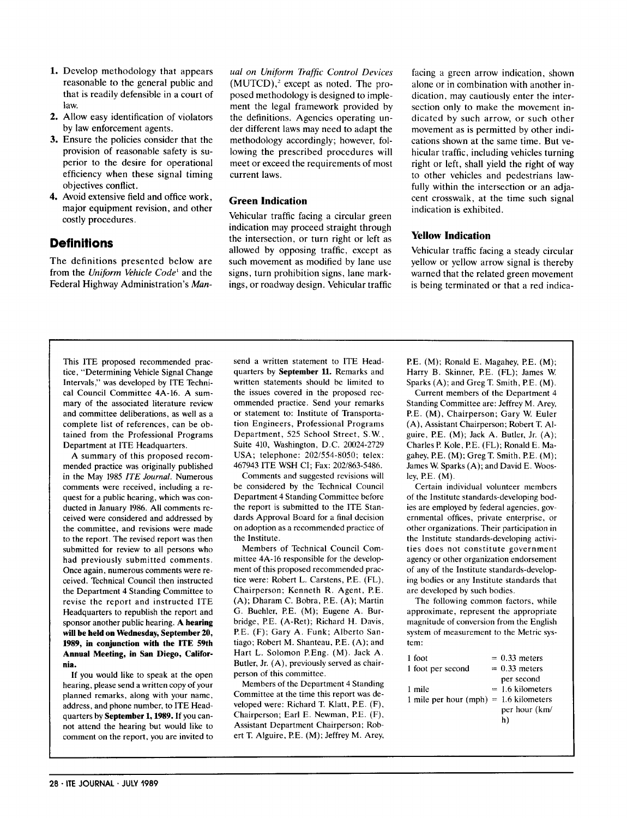- **1.** Develop methodology that appears reasonable to the general public and that is readily defensible in a court of law.
- 2. Allow easy identification of violators by law enforcement agents.
- 3. Ensure the policies consider that the provision of reasonable safety is superior to the desire for operational efficiency when these signal timing objectives conflict.
- 4. Avoid extensive field and office work, major equipment revision, and other costly procedures.

## **Definitions**

The definitions presented below are from the *Uniform VehicleCode'* and the Federal Highway Administration's *Man-* *ual on Uniform Trafjic Control Devices*  $(MUTCD)$ , $2$  except as noted. The proposed methodology is designed to implement the legal framework provided by the definitions. Agencies operating under different laws may need to adapt the methodology accordingly; however, following the prescribed procedures will meet or exceed the requirements of most current laws.

### **Green Indication**

Vehicular traffic facing a circular green indication may proceed straight through the intersection, or turn right or left as allowed by opposing traffic, except as such movement as modified by lane use signs, turn prohibition signs, lane markings, or roadway design. Vehicular traffic facing a green arrow indication, shown alone or in combination with another indication, may cautiously enter the intersection only to make the movement indicated by such arrow, or such other movement as is permitted by other indications shown at the same time. But vehicular traffic, including vehicles turning right or left, shall yield the right of way to other vehicles and pedestrians lawfully within the intersection or an adjacent crosswalk, at the time such signal indication is exhibited.

## **Yellow Indication**

Vehicular traffic facing a steady circular yellow or yellow arrow signal is thereby warned that the related green movement is being terminated or that a red indica-

This ITE proposed recommended practice, "Determining Vehicle Signal Change Intervals," was developed by ITE Technical Council Committee 4A-16. A summary of the associated literature review and committee deliberations, as well as a complete list of references, can be obtained from the Professional Programs Department at ITE Headquarters.

A summary of this proposed recommended practice was originally published in the May 1985 *lTE Journal.* Numerous comments were received, including a request for a public hearing, which was conducted in January 1986. All comments received were considered and addressed by the committee, and revisions were made to the report. The revised report was then submitted for review to all persons who had previously submitted comments. Once again, numerous comments were received. Technical Council then instructed the Department 4 Standing Committee to revise the report and instructed ITE Headquarters to republish the report and sponsor another public hearing. **A hearing** will be held on Wednesday, September 20, 1989, **in conjunction with tbe ITE 59th Annual Meeting, in San Diego, California.**

If you would like to speak at the open hearing, please send a written copy of your planned remarks, along with your name, address, and phone number, to ITE Headquarters by **September 1,1989.** If you cannot attend the hearing but would like to comment on the report, you are invited to send a written statement to ITE Headquarters by **September 11.** Remarks and written statements should be limited to the issues covered in the proposed recommended practice. Send your remarks or statement to: Institute of Transportation Engineers, Professional Programs Department, 525 School Street, S. W., Suite 410, Washington, D.C. 20024-2729 USA; telephone: 202/554-8050; telex: 467943 ITE WSH CI; Fax: 202/863-5486.

Comments and suggested revisions will be considered by the Technical Council Department 4 Standing Committee before the report is submitted to the ITE Standards Approval Board for a final decision on adoption as a recommended practice of the Institute.

Members of Technical Council Committee 4A- 16 responsible for the development of this proposed recommended practice were: Robert L. Carstens, P.E. (FL), Chairperson; Kenneth R. Agent, P.E.  $(A)$ ; Dharam C. Bobra, P.E.  $(A)$ ; Martin G. Buehler, P.E. (M); Eugene A. Burbridge, P.E. (A-Ret); Richard H. Davis, P.E. (F); Gary A. Funk; Alberto Santiago; Robert M. Shanteau, PE. (A); and Hart L, Solomon P.Eng. (M). Jack A. Butler, Jr. (A), previously served as chairperson of this committee.

Members of the Department 4 Standing Committee at the time this report was developed were: Richard T. Klatt, P.E. (F), Chairperson; Earl E. Newman, P.E. (F), Assistant Department Chairperson; Robert T. Alguire, P.E. (M); Jeffrey M. Arey, P.E. (M); Ronald E. Magahey, PE. (M); Harry B. Skinner, P.E. (FL); James W. Sparks (A); and Greg T. Smith, P.E. (M).

Current members of the Department 4 Standing Committee are: Jeffrey M. Arey, P.E. (M), Chairperson; Gary W. Euler (A), Assistant Chairperson; Robert T. Alguire, P.E. (M); Jack A. Butler, Jr. (A); Charles P. Kole, P.E. (FL); Ronald E. Magahey, P.E. (M); Greg T. Smith, P.E. (M); James W. Sparks (A); and David E. Woosley, P.E.  $(M)$ .

Certain individual volunteer members of the Institute standards-developing bodies are employed by federal agencies, governmental offices, private enterprise, or other organizations. Their participation in the Institute standards-developing activities does not constitute government agency or other organization endorsement of any of the Institute standards-developing bodies or any Institute standards that are developed by such bodies.

The following common factors, while approximate, represent the appropriate magnitude of conversion from the English system of measurement to the Metric system:

| 1 foot                                   | $= 0.33$ meters    |
|------------------------------------------|--------------------|
| 1 foot per second                        | $= 0.33$ meters    |
|                                          | per second         |
| 1 mile                                   | $= 1.6$ kilometers |
| 1 mile per hour $(mph) = 1.6$ kilometers |                    |
|                                          | per hour (km/      |
|                                          | h)                 |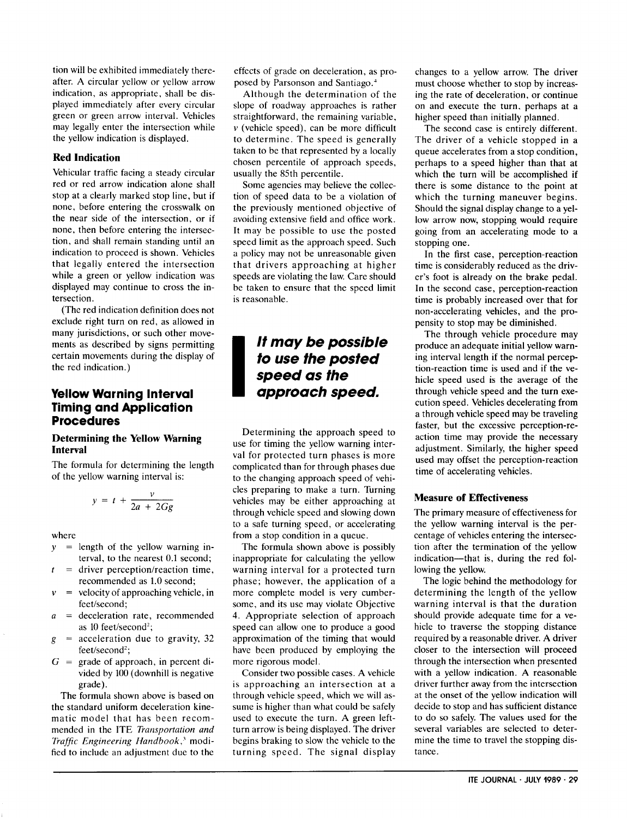tion will be exhibited immediately thereafter. A circular yellow or yellow arrow indication, as appropriate, shall be displayed immediately after every circular green or green arrow interval. Vehicles may legally enter the intersection while the yellow indication is displayed.

## **Red Indication**

Vehicular traffic facing a steady circular red or red arrow indication alone shall stop at a clearly marked stop line, but if none, before entering the crosswalk on the near side of the intersection, or if none, then before entering the intersection, and shall remain standing until an indication to proceed is shown. Vehicles that legally entered the intersection while a green or yellow indication was displayed may continue to cross the intersection.

(The red indication definition does not exclude right turn on red, as allowed in many jurisdictions, or such other movements as described by signs permitting certain movements during the display of the red indication. )

## Yellow Warning Interval Timing and Application Procedures

#### **Determining the Yellow Warning Interval**

The formula for determining the length of the yellow warning interval is:

$$
y = t + \frac{v}{2a + 2Gg}
$$

where

- *Y=*  $=$  length of the yellow warning interval, to the nearest 0.1 second;
- *t=*  $=$  driver perception/reaction time, recommended as 1.0 second;
- $\boldsymbol{v}$  $=$  velocity of approaching vehicle, in feet/second;
- *a=* = deceleration rate, recommended as 10 feet/second<sup>2</sup>;
- *g=*  $=$  acceleration due to gravity, 32 feet/second<sup>2</sup>;
- $G =$  grade of approach, in percent divided by 100 (downhill is negative grade).

The formula shown above is based on the standard uniform deceleration kinematic model that has been recommended in the ITE *Transportation and Traffic Engineering Handbook,'* modified to include an adjustment due to the

effects of grade on deceleration, as proposed by Parsonson and Santiago.'

Although the determination of the slope of roadway approaches is rather straightforward, the remaining variable,  $v$  (vehicle speed), can be more difficult to determine. The speed is generally taken to be that represented by a locally chosen percentile of approach speeds, usually the 85th percentile.

Some agencies may believe the collection of speed data to be a violation of the previously mentioned objective of avoiding extensive field and office work. It may be possible to use the posted speed limit as the approach speed. Such a policy may not be unreasonable given that drivers approaching at higher speeds are violating the law. Care should be taken to ensure that the speed limit is reasonable.

## **I It maybe possible to use the posted speed as the approach speed.**

Determining the approach speed to use for timing the yellow warning interval for protected turn phases is more complicated than for through phases due to the changing approach speed of vehicles preparing to make a turn. Turning vehicles may be either approaching at through vehicle speed and slowing down to a safe turning speed, or accelerating from a stop condition in a queue.

The formula shown above is possibly inappropriate for calculating the yellow warning interval for a protected turn phase; however, the application of a more complete model is very cumbersome, and its use may violate Objective 4. Appropriate selection of approach speed can allow one to produce a good approximation of the timing that would have been produced by employing the more rigorous model.

Consider two possible cases. A vehicle is approaching an intersection at a through vehicle speed, which we will assume is higher than what could be safely used to execute the turn. A green leftturn arrow is being displayed. The driver begins braking to slow the vehicle to the turning speed. The signal display

changes to a yellow arrow. The driver must choose whether to stop by increasing the rate of deceleration, or continue on and execute the turn, perhaps at a higher speed than initially planned.

The second case is entirely different. The driver of a vehicle stopped in a queue accelerates from a stop condition, perhaps to a speed higher than that at which the turn will be accomplished if there is some distance to the point at which the turning maneuver begins. Should the signal display change to a yellow arrow now, stopping would require going from an accelerating mode to a stopping one.

In the first case, perception-reaction time is considerably reduced as the driver's foot is already on the brake pedal. In the second case, perception-reaction time is probably increased over that for non-accelerating vehicles, and the propensity to stop may be diminished.

The through vehicle procedure may produce an adequate initial yellow warning interval length if the normal perception-reaction time is used and if the vehicle speed used is the average of the through vehicle speed and the turn execution speed. Vehicles decelerating from a through vehicle speed may be traveling faster, but the excessive perception-reaction time may provide the necessary adjustment. Similarly, the higher speed used may offset the perception-reaction time of accelerating vehicles.

## **Measure of Effectiveness**

The primary measure of effectiveness for the yellow warning interval is the percentage of vehicles entering the intersection after the termination of the yellow indication—that is, during the red following the yellow.

The logic behind the methodology for determining the length of the yellow warning interval is that the duration should provide adequate time for a vehicle to traverse the stopping distance required by a reasonable driver. A driver closer to the intersection will proceed through the intersection when presented with a yellow indication. A reasonable driver further away from the intersection at the onset of the yellow indication will decide to stop and has sufficient distance to do so safely. The values used for the several variables are selected to determine the time to travel the stopping distance.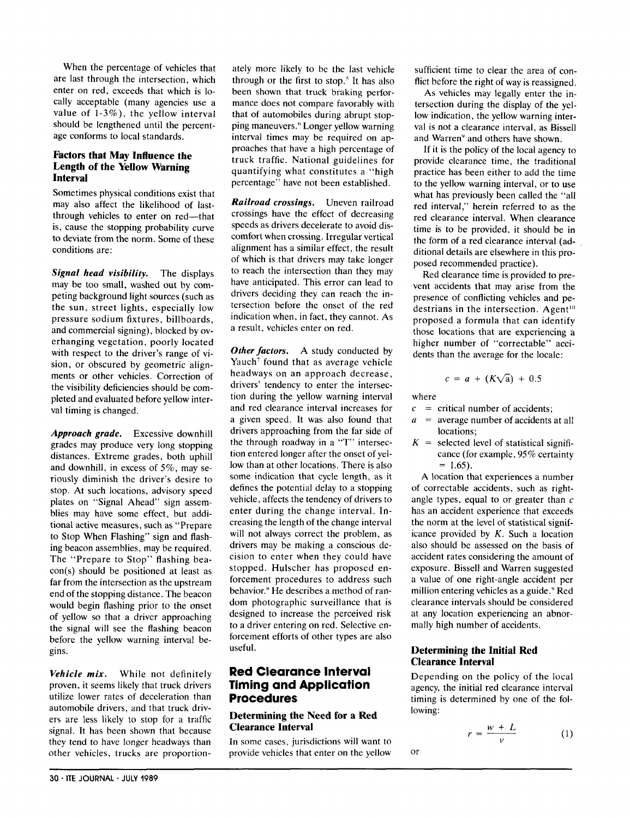When the percentage of vehicles that are last through the intersection, which enter on red, exceeds that which is locally acceptable (many agencies use a value of 1-3%), the yellow intervaI should be lengthened until the percentage conforms to Iocal standards.

### **Factors that May Influence the Length of the Yellow Warning Interval**

Sometimes physical conditions exist that may also affect the likelihood of lastthrough vehicles to enter on red—that is, cause the stopping probability curve to deviate from the norm. Some of these conditions are:

*Signal head visibility.* The displays may be too small, washed out by competing background light sources (such as the sun, street lights, especially low pressure sodium fixtures, billboards, and commercial signing), blocked by overhanging vegetation, poorly located with respect to the driver's range of vision, or obscured by geometric alignments or other vehicles. Correction of the visibility deficiencies should be completed and evaluated before yellow interval timing is changed.

*Approach grade.* Excessive downhill grades may produce very long stopping distances. Extreme grades, both uphill and downhill, in excess of 5%, may seriously diminish the driver's desire to stop. At such locations, advisory speed plates on "Signal Ahead" sign assemblies may have some effect, but additional active measures, such as "Prepare to Stop When Flashing" sign and flashing beacon assemblies, may be required. The "Prepare to Stop" flashing beacon(s) should be positioned at least as far from the intersection as the upstream end of the stopping distance. The beacon would begin flashing prior to the onset of yellow so that a driver approaching the signal will see the flashing beacon before the yellow warning interval begins.

*Vehicle mix.* While not definitely proven, it seems likely that truck drivers utilize lower rates of deceleration than automobile drivers, and that truck drivers are less likely to stop for a traffic signal. It has been shown that because they tend to have longer headways than other vehicles, trucks are proportionately more likely to be the last vehicle through or the first to stop.' It has also been shown that truck braking performance does not compare favorably with that of automobiles during abrupt stopping maneuvers." Longer yellow warning interval times may be required on approaches that have a high percentage of truck traffic. National guidelines for quantifying what constitutes a "high percentage" have not been established.

*Railroad crossings.* Uneven railroad crossings have the effect of decreasing speeds as drivers decelerate to avoid discomfort when crossing. Irregular vertical alignment has a similar effect, the result of which is that drivers may take longer to reach the intersection than they may have anticipated. This error can lead to drivers deciding they can reach the intersection before the onset of the red indication when, in fact, they cannot. As a result, vehicles enter on red.

*Other factors.* A study conducted by Yauch<sup>7</sup> found that as average vehicle headways on an approach decrease, drivers' tendency to enter the intersection during the yellow warning interval and red clearance interval increases for a given speed. It was also found that drivers approaching from the far side of the through roadway in a "T" intersection entered longer after the onset of yellow than at other locations. There is also some indication that cycle length, as it defines the potential delay to a stopping vehicle, affects the tendency of drivers to enter during the change interval. Increasing the length of the change interval will not always correct the problem, as drivers may be making a conscious decision to enter when they could have stopped. Hulscher has proposed enforcement procedures to address such behavior." He describes a method of random photographic surveillance that is designed to increase the perceived risk to a driver entering on red. Selective enforcement efforts of other types are also useful.

## Red Clearance Interval Timing and Application Procedures

#### **Determining the Need for a Red Clearance Interval**

In some cases, jurisdictions will want to provide vehicles that enter on the yellow sufficient time to clear the area of conflict before the right of way is reassigned.

As vehicles may legally enter the intersection during the display of the yellow indication, the yellow warning interval is not a clearance interval, as Bissell and Warren<sup>9</sup> and others have shown.

If it is the policy of the local agency to provide clearance time, the traditional practice has been either to add the time to the yellow warning interval, or to use what has previously been called the "all red interval;' herein referred to as the red clearance interval. When clearance time is to be provided, it should be in the form of a red clearance interval (additional details are elsewhere in this proposed recommended practice).

Red clearance time is provided to prevent accidents that may arise from the presence of conflicting vehicles and pedestrians in the intersection. Agent<sup>10</sup> proposed a formula that can identify those locations that are experiencing a higher number of "correctable" accidents than the average for the locale:

$$
c = a + (K\sqrt{a}) + 0.5
$$

where

- $c =$  critical number of accidents:
- *a =* average number of accidents at all locations;
- $K =$  selected level of statistical significance (for example, 95% certainty  $= 1.65$ ).

A location that experiences a number of correctable accidents, such as rightangle types, equal to or greater than  $c$ has an accident experience that exceeds the norm at the level of statistical significance provided by *K.* Such a location also should be assessed on the basis of accident rates considering the amount of exposure. Bissell and Warren suggested a value of one right-angle accident per million entering vehicles as a guide.' Red clearance intervals should be considered at any location experiencing an abnormally high number of accidents.

## **Determining the Initial Red Clearance Interval**

or

Depending on the policy of the local agency, the initial red clearance interval timing is determined by one of the following:

$$
r = \frac{w + L}{v} \tag{1}
$$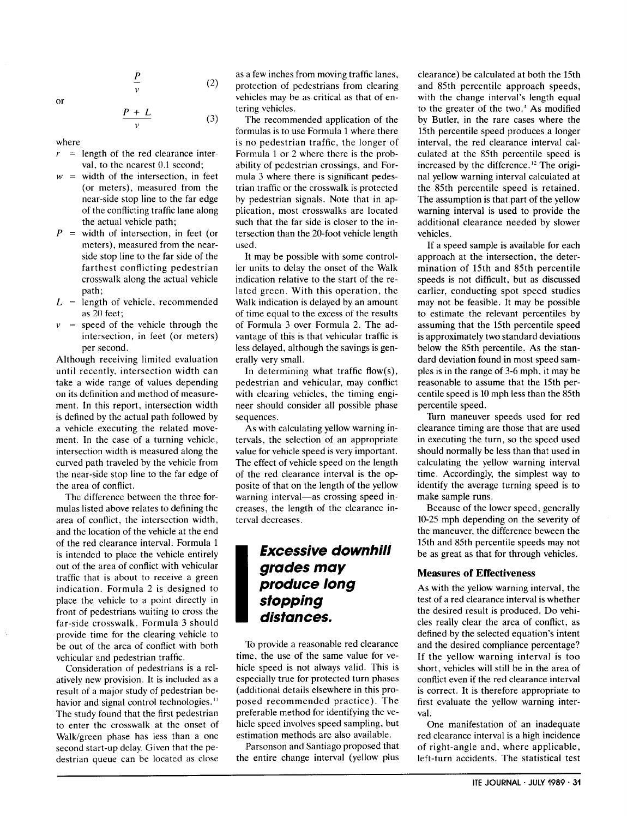or

$$
\frac{P}{v} \tag{2}
$$

$$
\frac{P+L}{v} \tag{3}
$$

where

*r=*  $=$  length of the red clearance interval, to the nearest 0.1 second:

v

- *w=* width of the intersection, in feet (or meters), measured from the near-side stop line to the far edge of the conflicting traffic lane along the actual vehicle path;
- *P=* width of intersection, in feet (or meters), measured from the nearside stop line to the far side of the farthest conflicting pedestrian crosswalk along the actual vehicle path;
- $L =$  length of vehicle, recommendents as 20 feet;
- *v=* speed of the vehicle through the intersection, in feet (or meters) per second.

Although receiving limited evaluation until recently, intersection width can take a wide range of values depending on its definition and method of measurement. In this report, intersection width is defined by the actual path followed by a vehicle executing the related movement. In the case of a turning vehicle, intersection width is measured along the curved path traveled by the vehicle from the near-side stop line to the far edge of the area of conflict.

The difference between the three formulas listed above relates to defining the area of conflict, the intersection width, and the location of the vehicle at the end of the red clearance interval. Formula 1 is intended to place the vehicle entirely out of the area of conflict with vehicular traffic that is about to receive a green indication. Formula 2 is designed to place the vehicle to a point directly in front of pedestrians waiting to cross the far-side crosswalk. Formula 3 should provide time for the clearing vehicle to be out of the area of conflict with both vehicular and pedestrian traffic.

Consideration of pedestrians is a relatively new provision. It is included as a result of a major study of pedestrian behavior and signal control technologies.<sup>11</sup> The study found that the first pedestrian to enter the crosswalk at the onset of Walk/green phase has less than a one second start-up delay. Given that the pedestrian queue can be located as close as a few inches from moving traffic lanes, protection of pedestrians from clearing vehicles may be as critical as that of entering vehicles.

The recommended application of the formulas is to use Formula 1 where there is no pedestrian traffic, the longer of Formula 1 or 2 where there is the probability of pedestrian crossings, and Formula 3 where there is significant pedestrian traffic or the crosswdlk is protected by pedestrian signals. Note that in application, most crosswalks are located such that the far side is closer to the intersection than the 20-foot vehicle length used.

It may be possible with some controller units to delay the onset of the Walk indication relative to the start of the related green. With this operation, the Walk indication is delayed by an amount of time equal to the excess of the results of Formula 3 over Formula 2. The advantage of this is that vehicular traffic is less delayed, although the savings is generally very small.

In determining what traffic flow(s), pedestrian and vehicular, may conflict with clearing vehicles, the timing engineer should consider all possible phase sequences.

As with calculating yellow warning intervals, the selection of an appropriate value for vehicle speed is very important. The effect of vehicle speed on the length of the red clearance interval is the opposite of that on the length of the yellow warning interval—as crossing speed increases, the length of the clearance interval decreases.

## **I Excessive downhill grades may produce long stopping distances.**

To provide a reasonable red clearance time, the use of the same value for vehicle speed is not always valid. This is especially true for protected turn phases (additional details elsewhere in this proposed recommended practice). The preferable method for identifying the vehicle speed involves speed sampling, but estimation methods are also available.

Parsonson and Santiago proposed that the entire change interval (yellow plus

clearance) be calculated at both the 15th and 85th percentile approach speeds, with the change interval's length equal to the greater of the two.' As modified by Butler, in the rare cases where the 15th percentile speed produces a longer interval, the red clearance interval calculated at the 85th percentile speed is increased by the difference.'2 The original yellow warning interval calculated at the 85th percentile speed is retained. The assumption is that part of the yellow warning interval is used to provide the additional clearance needed by slower vehicles.

If a speed sample is available for each approach at the intersection, the determination of 15th and 85th percentile speeds is not difficult, but as discussed earlier, conducting spot speed studies may not be feasible. It may be possible to estimate the relevant percentiles by assuming that the 15th percentile speed is approximately two standard deviations below the 85th percentile. As the standard deviation found in most speed samples is in the range of 3-6 mph, it maybe reasonable to assume that the 15th percentile speed is 10mph less than the 85th percentile speed.

Turn maneuver speeds used for red clearance timing are those that are used in executing the turn, so the speed used should normally be less than that used in calculating the yellow warning interval time. Accordingly, the simplest way to identify the average turning speed is to make sample runs.

Because of the lower speed, generally 10-25 mph depending on the severity of the maneuver, the difference beween the 15th and 85th percentile speeds may not be as great as that for through vehicles.

#### **Measures of Effectiveness**

As with the yellow warning interval, the test of a red clearance interval is whether the desired result is produced. Do vehicles really clear the area of conflict, as defined by the selected equation's intent and the desired compliance percentage? If the yellow warning interval is too short, vehicles will still be in the area of conflict even if the red clearance interval is correct. It is therefore appropriate to first evaluate the yellow warning interval.

One manifestation of an inadequate red clearance interval is a high incidence of right-angle and, where applicable, left-turn accidents. The statistical test